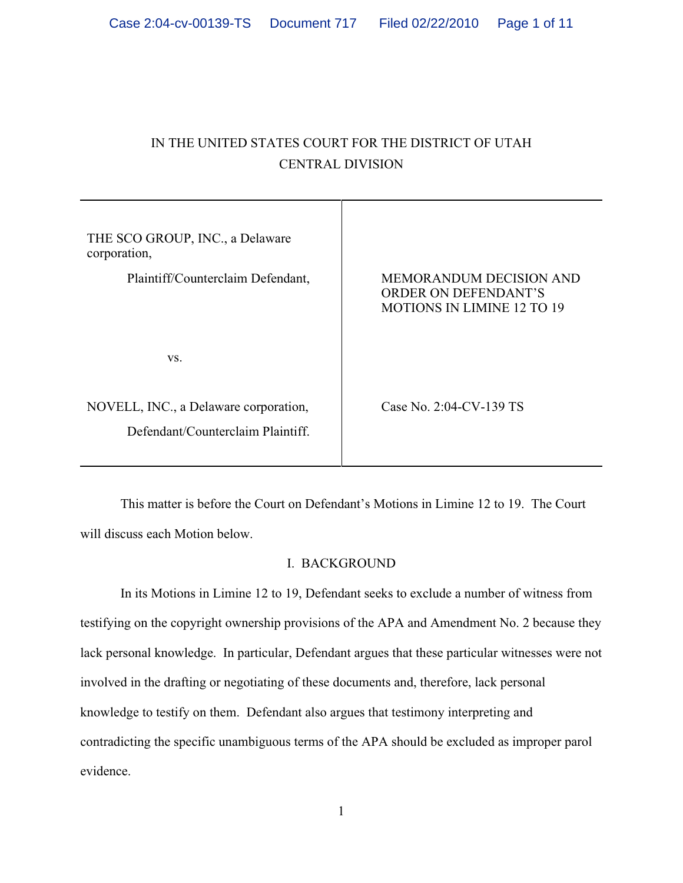# IN THE UNITED STATES COURT FOR THE DISTRICT OF UTAH CENTRAL DIVISION

| THE SCO GROUP, INC., a Delaware<br>corporation,                            |                                                                                             |
|----------------------------------------------------------------------------|---------------------------------------------------------------------------------------------|
| Plaintiff/Counterclaim Defendant,                                          | <b>MEMORANDUM DECISION AND</b><br>ORDER ON DEFENDANT'S<br><b>MOTIONS IN LIMINE 12 TO 19</b> |
| VS.                                                                        |                                                                                             |
| NOVELL, INC., a Delaware corporation,<br>Defendant/Counterclaim Plaintiff. | Case No. 2:04-CV-139 TS                                                                     |

This matter is before the Court on Defendant's Motions in Limine 12 to 19. The Court will discuss each Motion below.

# I. BACKGROUND

In its Motions in Limine 12 to 19, Defendant seeks to exclude a number of witness from testifying on the copyright ownership provisions of the APA and Amendment No. 2 because they lack personal knowledge. In particular, Defendant argues that these particular witnesses were not involved in the drafting or negotiating of these documents and, therefore, lack personal knowledge to testify on them. Defendant also argues that testimony interpreting and contradicting the specific unambiguous terms of the APA should be excluded as improper parol evidence.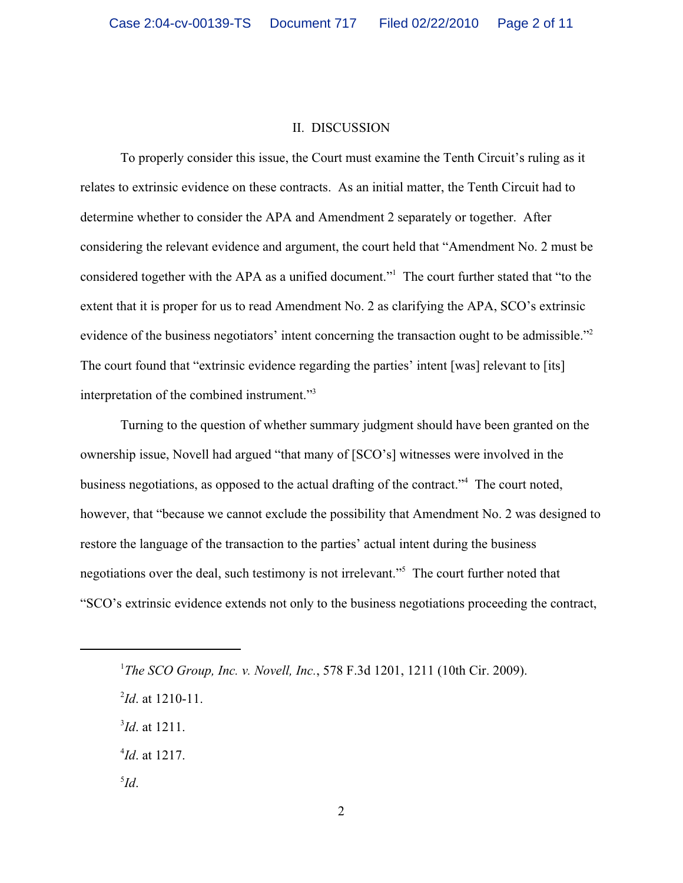## II. DISCUSSION

To properly consider this issue, the Court must examine the Tenth Circuit's ruling as it relates to extrinsic evidence on these contracts. As an initial matter, the Tenth Circuit had to determine whether to consider the APA and Amendment 2 separately or together. After considering the relevant evidence and argument, the court held that "Amendment No. 2 must be considered together with the APA as a unified document." The court further stated that "to the extent that it is proper for us to read Amendment No. 2 as clarifying the APA, SCO's extrinsic evidence of the business negotiators' intent concerning the transaction ought to be admissible."<sup>2</sup> The court found that "extrinsic evidence regarding the parties' intent [was] relevant to [its] interpretation of the combined instrument."<sup>3</sup>

Turning to the question of whether summary judgment should have been granted on the ownership issue, Novell had argued "that many of [SCO's] witnesses were involved in the business negotiations, as opposed to the actual drafting of the contract."<sup>4</sup> The court noted, however, that "because we cannot exclude the possibility that Amendment No. 2 was designed to restore the language of the transaction to the parties' actual intent during the business negotiations over the deal, such testimony is not irrelevant."<sup>5</sup> The court further noted that "SCO's extrinsic evidence extends not only to the business negotiations proceeding the contract,

- $^{3}$ *Id.* at 1211.
- $^{4}$ *Id.* at 1217.
- *Id*. 5

*The SCO Group, Inc. v. Novell, Inc., 578 F.3d 1201, 1211 (10th Cir. 2009).* 

 $^{2}$ *Id*. at 1210-11.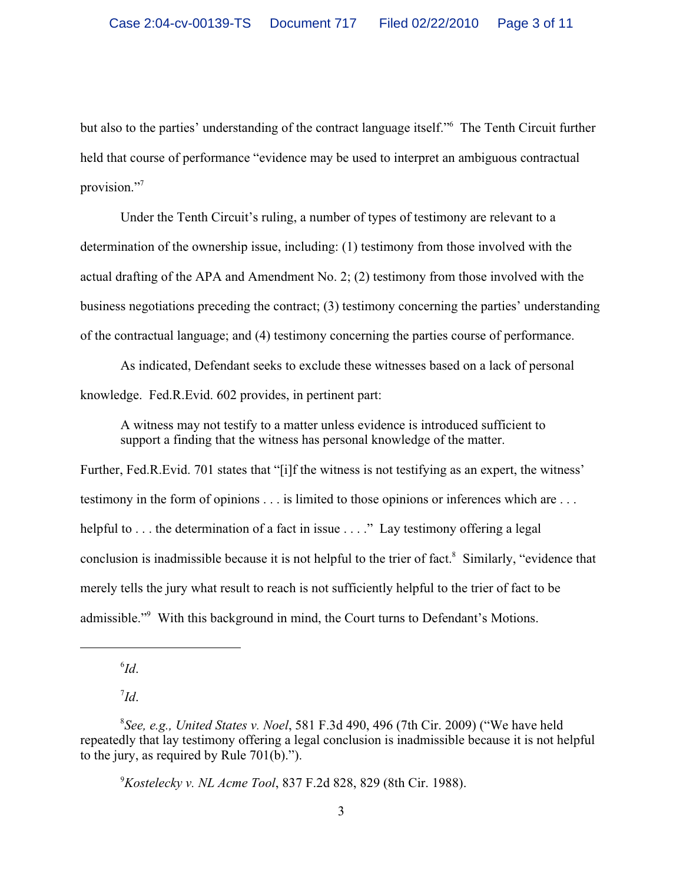but also to the parties' understanding of the contract language itself." The Tenth Circuit further held that course of performance "evidence may be used to interpret an ambiguous contractual provision."<sup>7</sup>

Under the Tenth Circuit's ruling, a number of types of testimony are relevant to a determination of the ownership issue, including: (1) testimony from those involved with the actual drafting of the APA and Amendment No. 2; (2) testimony from those involved with the business negotiations preceding the contract; (3) testimony concerning the parties' understanding of the contractual language; and (4) testimony concerning the parties course of performance.

As indicated, Defendant seeks to exclude these witnesses based on a lack of personal knowledge. Fed.R.Evid. 602 provides, in pertinent part:

A witness may not testify to a matter unless evidence is introduced sufficient to support a finding that the witness has personal knowledge of the matter.

Further, Fed.R. Evid. 701 states that "[i]f the witness is not testifying as an expert, the witness' testimony in the form of opinions . . . is limited to those opinions or inferences which are . . . helpful to  $\dots$  the determination of a fact in issue  $\dots$ ." Lay testimony offering a legal conclusion is inadmissible because it is not helpful to the trier of fact.  $\delta$  Similarly, "evidence that merely tells the jury what result to reach is not sufficiently helpful to the trier of fact to be admissible."<sup>9</sup> With this background in mind, the Court turns to Defendant's Motions.

*Id*. 6

*Id*. 7

*Kostelecky v. NL Acme Tool*, 837 F.2d 828, 829 (8th Cir. 1988). <sup>9</sup>

*See, e.g., United States v. Noel*, 581 F.3d 490, 496 (7th Cir. 2009) ("We have held <sup>8</sup> repeatedly that lay testimony offering a legal conclusion is inadmissible because it is not helpful to the jury, as required by Rule 701(b).").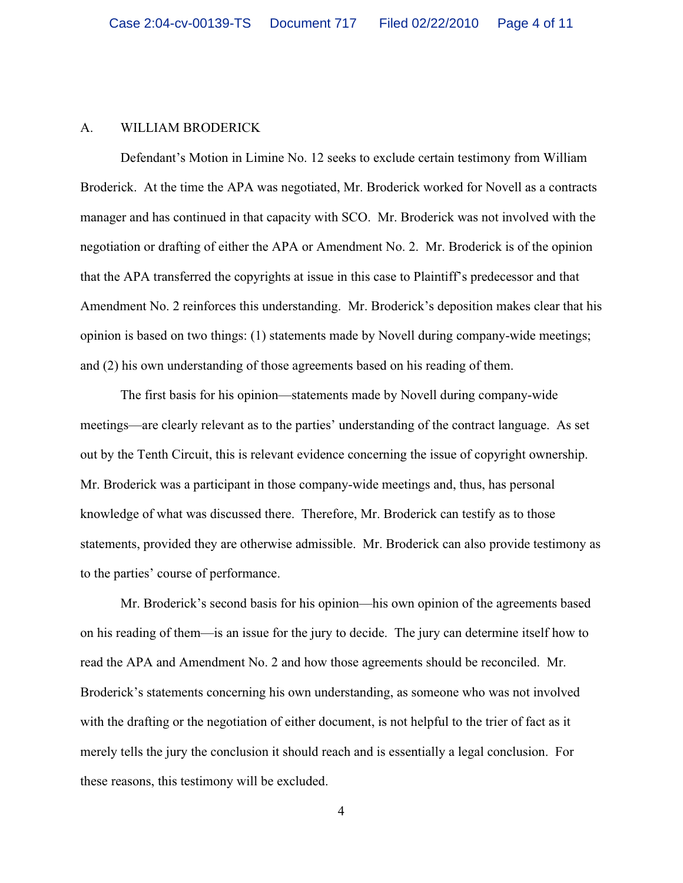### A. WILLIAM BRODERICK

Defendant's Motion in Limine No. 12 seeks to exclude certain testimony from William Broderick. At the time the APA was negotiated, Mr. Broderick worked for Novell as a contracts manager and has continued in that capacity with SCO. Mr. Broderick was not involved with the negotiation or drafting of either the APA or Amendment No. 2. Mr. Broderick is of the opinion that the APA transferred the copyrights at issue in this case to Plaintiff's predecessor and that Amendment No. 2 reinforces this understanding. Mr. Broderick's deposition makes clear that his opinion is based on two things: (1) statements made by Novell during company-wide meetings; and (2) his own understanding of those agreements based on his reading of them.

The first basis for his opinion—statements made by Novell during company-wide meetings—are clearly relevant as to the parties' understanding of the contract language. As set out by the Tenth Circuit, this is relevant evidence concerning the issue of copyright ownership. Mr. Broderick was a participant in those company-wide meetings and, thus, has personal knowledge of what was discussed there. Therefore, Mr. Broderick can testify as to those statements, provided they are otherwise admissible. Mr. Broderick can also provide testimony as to the parties' course of performance.

Mr. Broderick's second basis for his opinion—his own opinion of the agreements based on his reading of them—is an issue for the jury to decide. The jury can determine itself how to read the APA and Amendment No. 2 and how those agreements should be reconciled. Mr. Broderick's statements concerning his own understanding, as someone who was not involved with the drafting or the negotiation of either document, is not helpful to the trier of fact as it merely tells the jury the conclusion it should reach and is essentially a legal conclusion. For these reasons, this testimony will be excluded.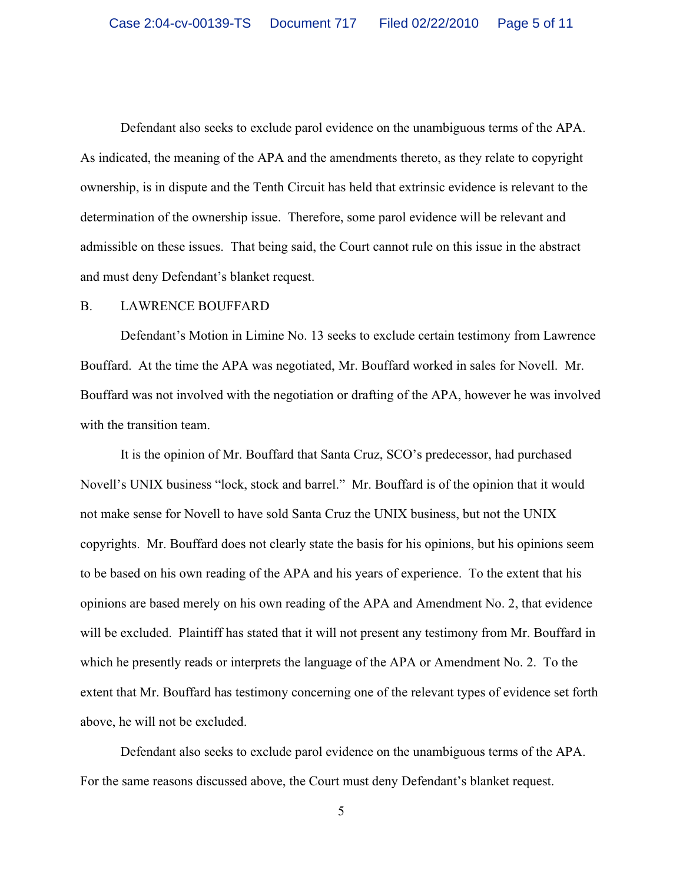Defendant also seeks to exclude parol evidence on the unambiguous terms of the APA. As indicated, the meaning of the APA and the amendments thereto, as they relate to copyright ownership, is in dispute and the Tenth Circuit has held that extrinsic evidence is relevant to the determination of the ownership issue. Therefore, some parol evidence will be relevant and admissible on these issues. That being said, the Court cannot rule on this issue in the abstract and must deny Defendant's blanket request.

## B. LAWRENCE BOUFFARD

Defendant's Motion in Limine No. 13 seeks to exclude certain testimony from Lawrence Bouffard. At the time the APA was negotiated, Mr. Bouffard worked in sales for Novell. Mr. Bouffard was not involved with the negotiation or drafting of the APA, however he was involved with the transition team.

It is the opinion of Mr. Bouffard that Santa Cruz, SCO's predecessor, had purchased Novell's UNIX business "lock, stock and barrel." Mr. Bouffard is of the opinion that it would not make sense for Novell to have sold Santa Cruz the UNIX business, but not the UNIX copyrights. Mr. Bouffard does not clearly state the basis for his opinions, but his opinions seem to be based on his own reading of the APA and his years of experience. To the extent that his opinions are based merely on his own reading of the APA and Amendment No. 2, that evidence will be excluded. Plaintiff has stated that it will not present any testimony from Mr. Bouffard in which he presently reads or interprets the language of the APA or Amendment No. 2. To the extent that Mr. Bouffard has testimony concerning one of the relevant types of evidence set forth above, he will not be excluded.

Defendant also seeks to exclude parol evidence on the unambiguous terms of the APA. For the same reasons discussed above, the Court must deny Defendant's blanket request.

5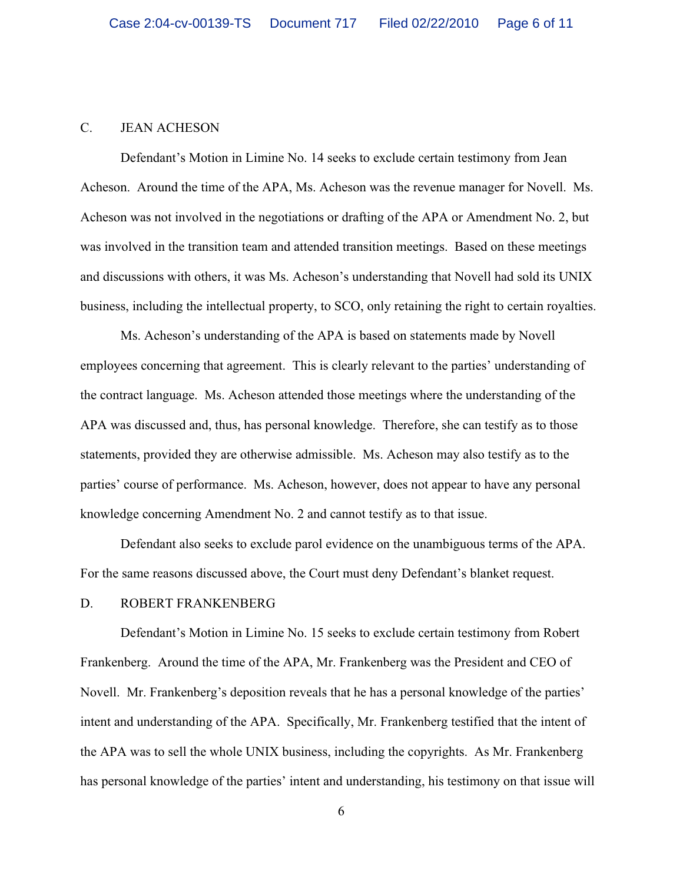### C. JEAN ACHESON

Defendant's Motion in Limine No. 14 seeks to exclude certain testimony from Jean Acheson. Around the time of the APA, Ms. Acheson was the revenue manager for Novell. Ms. Acheson was not involved in the negotiations or drafting of the APA or Amendment No. 2, but was involved in the transition team and attended transition meetings. Based on these meetings and discussions with others, it was Ms. Acheson's understanding that Novell had sold its UNIX business, including the intellectual property, to SCO, only retaining the right to certain royalties.

Ms. Acheson's understanding of the APA is based on statements made by Novell employees concerning that agreement. This is clearly relevant to the parties' understanding of the contract language. Ms. Acheson attended those meetings where the understanding of the APA was discussed and, thus, has personal knowledge. Therefore, she can testify as to those statements, provided they are otherwise admissible. Ms. Acheson may also testify as to the parties' course of performance. Ms. Acheson, however, does not appear to have any personal knowledge concerning Amendment No. 2 and cannot testify as to that issue.

Defendant also seeks to exclude parol evidence on the unambiguous terms of the APA. For the same reasons discussed above, the Court must deny Defendant's blanket request.

#### D. ROBERT FRANKENBERG

Defendant's Motion in Limine No. 15 seeks to exclude certain testimony from Robert Frankenberg. Around the time of the APA, Mr. Frankenberg was the President and CEO of Novell. Mr. Frankenberg's deposition reveals that he has a personal knowledge of the parties' intent and understanding of the APA. Specifically, Mr. Frankenberg testified that the intent of the APA was to sell the whole UNIX business, including the copyrights. As Mr. Frankenberg has personal knowledge of the parties' intent and understanding, his testimony on that issue will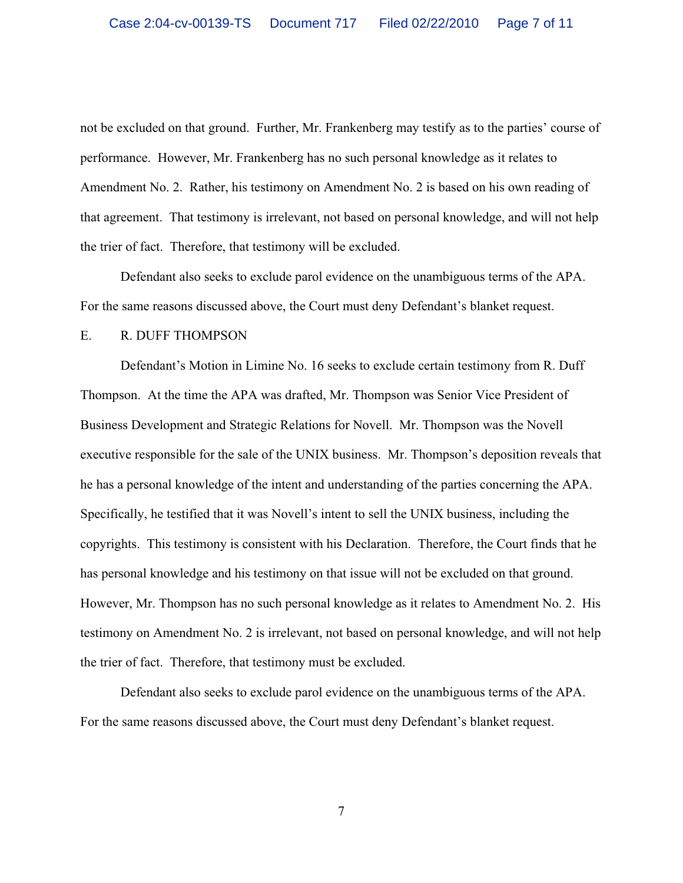not be excluded on that ground. Further, Mr. Frankenberg may testify as to the parties' course of performance. However, Mr. Frankenberg has no such personal knowledge as it relates to Amendment No. 2. Rather, his testimony on Amendment No. 2 is based on his own reading of that agreement. That testimony is irrelevant, not based on personal knowledge, and will not help the trier of fact. Therefore, that testimony will be excluded.

Defendant also seeks to exclude parol evidence on the unambiguous terms of the APA. For the same reasons discussed above, the Court must deny Defendant's blanket request.

## E. R. DUFF THOMPSON

Defendant's Motion in Limine No. 16 seeks to exclude certain testimony from R. Duff Thompson. At the time the APA was drafted, Mr. Thompson was Senior Vice President of Business Development and Strategic Relations for Novell. Mr. Thompson was the Novell executive responsible for the sale of the UNIX business. Mr. Thompson's deposition reveals that he has a personal knowledge of the intent and understanding of the parties concerning the APA. Specifically, he testified that it was Novell's intent to sell the UNIX business, including the copyrights. This testimony is consistent with his Declaration. Therefore, the Court finds that he has personal knowledge and his testimony on that issue will not be excluded on that ground. However, Mr. Thompson has no such personal knowledge as it relates to Amendment No. 2. His testimony on Amendment No. 2 is irrelevant, not based on personal knowledge, and will not help the trier of fact. Therefore, that testimony must be excluded.

Defendant also seeks to exclude parol evidence on the unambiguous terms of the APA. For the same reasons discussed above, the Court must deny Defendant's blanket request.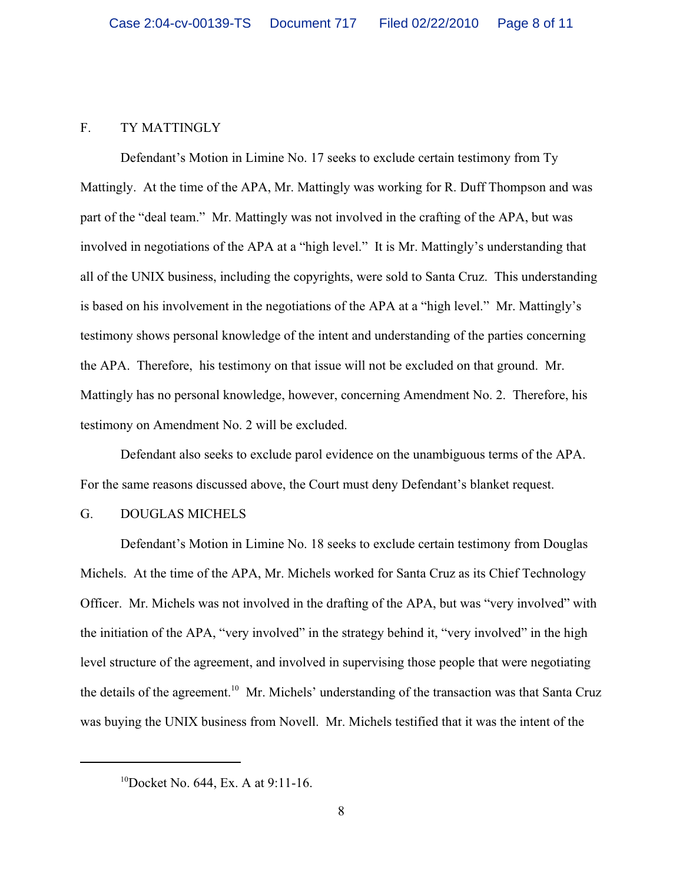## F. TY MATTINGLY

Defendant's Motion in Limine No. 17 seeks to exclude certain testimony from Ty Mattingly. At the time of the APA, Mr. Mattingly was working for R. Duff Thompson and was part of the "deal team." Mr. Mattingly was not involved in the crafting of the APA, but was involved in negotiations of the APA at a "high level." It is Mr. Mattingly's understanding that all of the UNIX business, including the copyrights, were sold to Santa Cruz. This understanding is based on his involvement in the negotiations of the APA at a "high level." Mr. Mattingly's testimony shows personal knowledge of the intent and understanding of the parties concerning the APA. Therefore, his testimony on that issue will not be excluded on that ground. Mr. Mattingly has no personal knowledge, however, concerning Amendment No. 2. Therefore, his testimony on Amendment No. 2 will be excluded.

Defendant also seeks to exclude parol evidence on the unambiguous terms of the APA. For the same reasons discussed above, the Court must deny Defendant's blanket request.

## G. DOUGLAS MICHELS

Defendant's Motion in Limine No. 18 seeks to exclude certain testimony from Douglas Michels. At the time of the APA, Mr. Michels worked for Santa Cruz as its Chief Technology Officer. Mr. Michels was not involved in the drafting of the APA, but was "very involved" with the initiation of the APA, "very involved" in the strategy behind it, "very involved" in the high level structure of the agreement, and involved in supervising those people that were negotiating the details of the agreement.<sup>10</sup> Mr. Michels' understanding of the transaction was that Santa Cruz was buying the UNIX business from Novell. Mr. Michels testified that it was the intent of the

<sup>&</sup>lt;sup>10</sup>Docket No. 644, Ex. A at 9:11-16.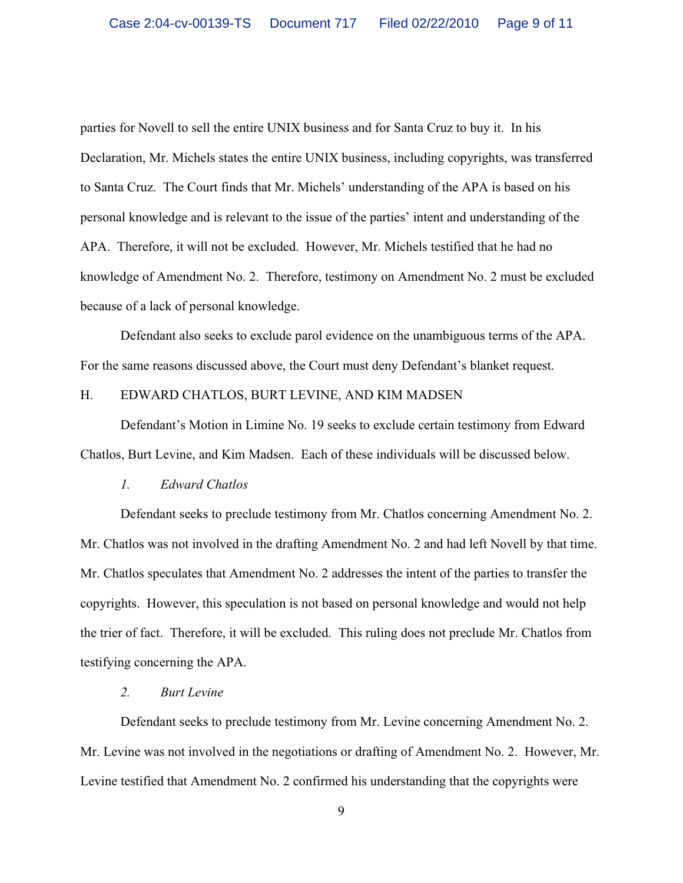parties for Novell to sell the entire UNIX business and for Santa Cruz to buy it. In his Declaration, Mr. Michels states the entire UNIX business, including copyrights, was transferred to Santa Cruz. The Court finds that Mr. Michels' understanding of the APA is based on his personal knowledge and is relevant to the issue of the parties' intent and understanding of the APA. Therefore, it will not be excluded. However, Mr. Michels testified that he had no knowledge of Amendment No. 2. Therefore, testimony on Amendment No. 2 must be excluded because of a lack of personal knowledge.

Defendant also seeks to exclude parol evidence on the unambiguous terms of the APA. For the same reasons discussed above, the Court must deny Defendant's blanket request.

## H. EDWARD CHATLOS, BURT LEVINE, AND KIM MADSEN

Defendant's Motion in Limine No. 19 seeks to exclude certain testimony from Edward Chatlos, Burt Levine, and Kim Madsen. Each of these individuals will be discussed below.

## *1. Edward Chatlos*

Defendant seeks to preclude testimony from Mr. Chatlos concerning Amendment No. 2. Mr. Chatlos was not involved in the drafting Amendment No. 2 and had left Novell by that time. Mr. Chatlos speculates that Amendment No. 2 addresses the intent of the parties to transfer the copyrights. However, this speculation is not based on personal knowledge and would not help the trier of fact. Therefore, it will be excluded. This ruling does not preclude Mr. Chatlos from testifying concerning the APA.

## *2. Burt Levine*

Defendant seeks to preclude testimony from Mr. Levine concerning Amendment No. 2. Mr. Levine was not involved in the negotiations or drafting of Amendment No. 2. However, Mr. Levine testified that Amendment No. 2 confirmed his understanding that the copyrights were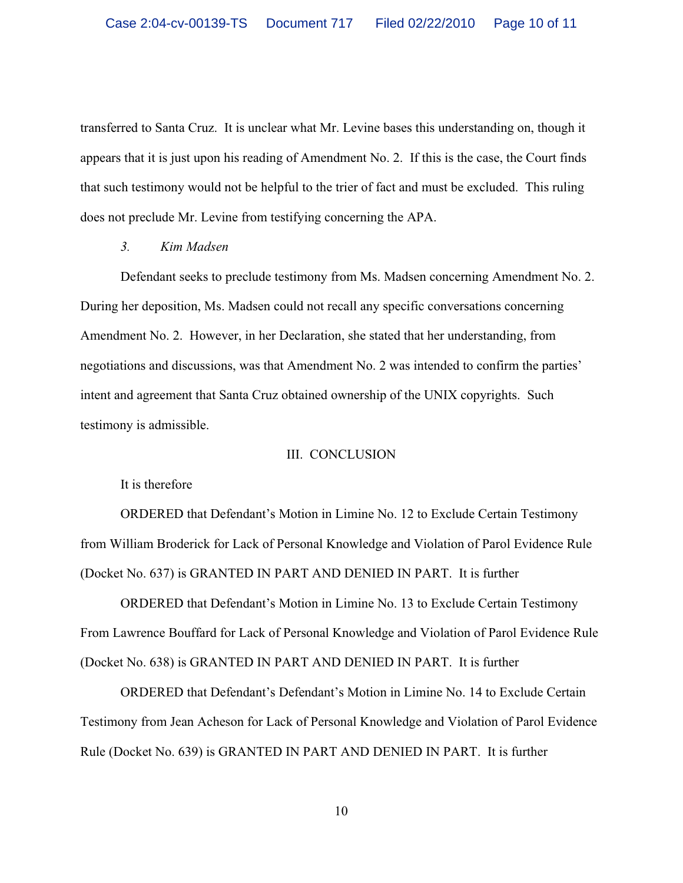transferred to Santa Cruz. It is unclear what Mr. Levine bases this understanding on, though it appears that it is just upon his reading of Amendment No. 2. If this is the case, the Court finds that such testimony would not be helpful to the trier of fact and must be excluded. This ruling does not preclude Mr. Levine from testifying concerning the APA.

## *3. Kim Madsen*

Defendant seeks to preclude testimony from Ms. Madsen concerning Amendment No. 2. During her deposition, Ms. Madsen could not recall any specific conversations concerning Amendment No. 2. However, in her Declaration, she stated that her understanding, from negotiations and discussions, was that Amendment No. 2 was intended to confirm the parties' intent and agreement that Santa Cruz obtained ownership of the UNIX copyrights. Such testimony is admissible.

## III. CONCLUSION

It is therefore

ORDERED that Defendant's Motion in Limine No. 12 to Exclude Certain Testimony from William Broderick for Lack of Personal Knowledge and Violation of Parol Evidence Rule (Docket No. 637) is GRANTED IN PART AND DENIED IN PART. It is further

ORDERED that Defendant's Motion in Limine No. 13 to Exclude Certain Testimony From Lawrence Bouffard for Lack of Personal Knowledge and Violation of Parol Evidence Rule (Docket No. 638) is GRANTED IN PART AND DENIED IN PART. It is further

ORDERED that Defendant's Defendant's Motion in Limine No. 14 to Exclude Certain Testimony from Jean Acheson for Lack of Personal Knowledge and Violation of Parol Evidence Rule (Docket No. 639) is GRANTED IN PART AND DENIED IN PART. It is further